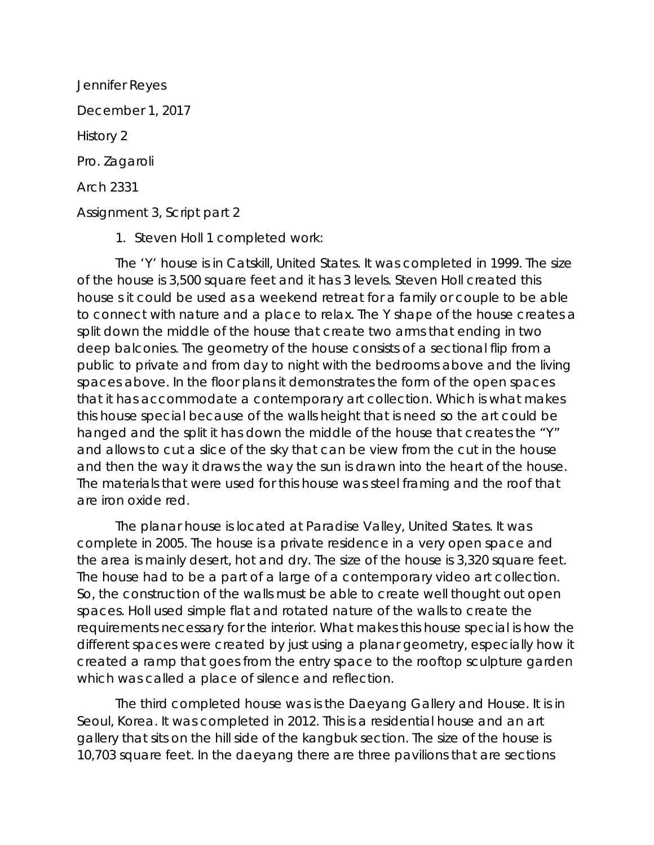Jennifer Reyes December 1, 2017 History 2 Pro. Zagaroli Arch 2331 Assignment 3, Script part 2

1. Steven Holl 1 completed work:

The 'Y' house is in Catskill, United States. It was completed in 1999. The size of the house is 3,500 square feet and it has 3 levels. Steven Holl created this house s it could be used as a weekend retreat for a family or couple to be able to connect with nature and a place to relax. The Y shape of the house creates a split down the middle of the house that create two arms that ending in two deep balconies. The geometry of the house consists of a sectional flip from a public to private and from day to night with the bedrooms above and the living spaces above. In the floor plans it demonstrates the form of the open spaces that it has accommodate a contemporary art collection. Which is what makes this house special because of the walls height that is need so the art could be hanged and the split it has down the middle of the house that creates the "Y" and allows to cut a slice of the sky that can be view from the cut in the house and then the way it draws the way the sun is drawn into the heart of the house. The materials that were used for this house was steel framing and the roof that are iron oxide red.

The planar house is located at Paradise Valley, United States. It was complete in 2005. The house is a private residence in a very open space and the area is mainly desert, hot and dry. The size of the house is 3,320 square feet. The house had to be a part of a large of a contemporary video art collection. So, the construction of the walls must be able to create well thought out open spaces. Holl used simple flat and rotated nature of the walls to create the requirements necessary for the interior. What makes this house special is how the different spaces were created by just using a planar geometry, especially how it created a ramp that goes from the entry space to the rooftop sculpture garden which was called a place of silence and reflection.

The third completed house was is the Daeyang Gallery and House. It is in Seoul, Korea. It was completed in 2012. This is a residential house and an art gallery that sits on the hill side of the kangbuk section. The size of the house is 10,703 square feet. In the daeyang there are three pavilions that are sections